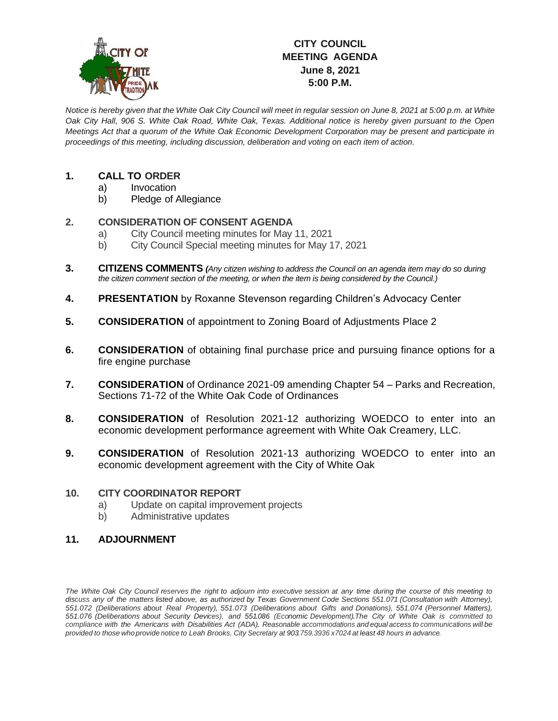

# **CITY COUNCIL MEETING AGENDA June 8, 2021 5:00 P.M.**

*Notice is hereby given that the White Oak City Council will meet in regular session on June 8, 2021 at 5:00 p.m. at White Oak City Hall, 906 S. White Oak Road, White Oak, Texas. Additional notice is hereby given pursuant to the Open Meetings Act that a quorum of the White Oak Economic Development Corporation may be present and participate in proceedings of this meeting, including discussion, deliberation and voting on each item of action.*

## **1. CALL TO ORDER**

- a) Invocation
- b) Pledge of Allegiance

### **2. CONSIDERATION OF CONSENT AGENDA**

- a) City Council meeting minutes for May 11, 2021
- b) City Council Special meeting minutes for May 17, 2021
- **3. CITIZENS COMMENTS** *(Any citizen wishing to address the Council on an agenda item may do so during the citizen comment section of the meeting, or when the item is being considered by the Council.)*
- **4. PRESENTATION** by Roxanne Stevenson regarding Children's Advocacy Center
- **5. CONSIDERATION** of appointment to Zoning Board of Adjustments Place 2
- **6. CONSIDERATION** of obtaining final purchase price and pursuing finance options for a fire engine purchase
- **7. CONSIDERATION** of Ordinance 2021-09 amending Chapter 54 Parks and Recreation, Sections 71-72 of the White Oak Code of Ordinances
- **8. CONSIDERATION** of Resolution 2021-12 authorizing WOEDCO to enter into an economic development performance agreement with White Oak Creamery, LLC.
- **9. CONSIDERATION** of Resolution 2021-13 authorizing WOEDCO to enter into an economic development agreement with the City of White Oak

#### **10. CITY COORDINATOR REPORT**

- a) Update on capital improvement projects
- b) Administrative updates

### **11. ADJOURNMENT**

The White Oak City Council reserves the right to adjourn into executive session at any time during the course of this meeting to discuss any of the matters listed above, as authorized by Texas Government Code Sections 551.071 (Consultation with Attorney), *551.072 (Deliberations about Real Property), 551.073 (Deliberations about Gifts and Donations), 551.074 (Personnel Matters), 551.076 (Deliberations about Security Devices), and 551.086 (Economic Development).The City of White Oak is committed to* compliance with the Americans with Disabilities Act (ADA). Reasonable accommodations and equal access to communications will be provided to those who provide notice to Leah Brooks, City Secretary at 903.759.3936 x7024 at least 48 hours in advance.